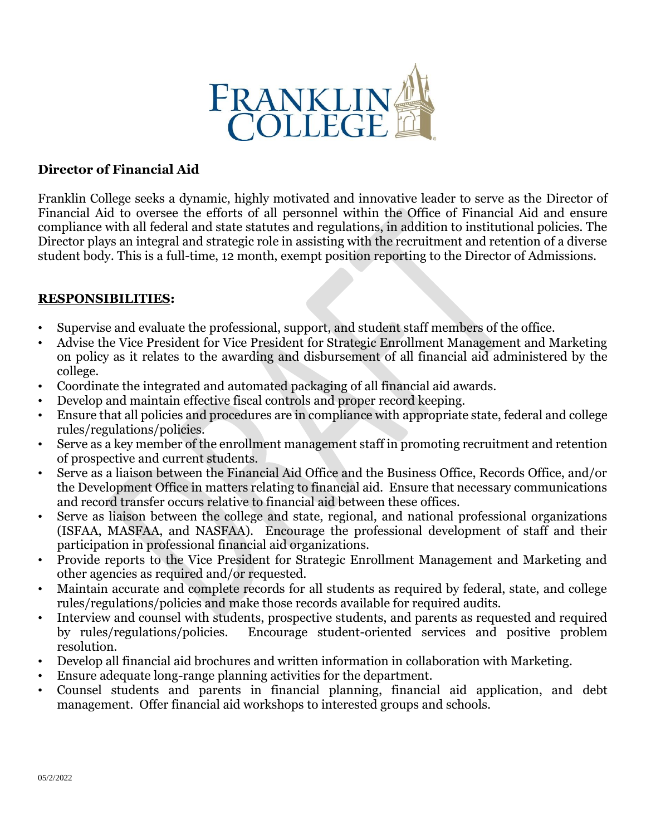

## **Director of Financial Aid**

Franklin College seeks a dynamic, highly motivated and innovative leader to serve as the Director of Financial Aid to oversee the efforts of all personnel within the Office of Financial Aid and ensure compliance with all federal and state statutes and regulations, in addition to institutional policies. The Director plays an integral and strategic role in assisting with the recruitment and retention of a diverse student body. This is a full-time, 12 month, exempt position reporting to the Director of Admissions.

## **RESPONSIBILITIES:**

- Supervise and evaluate the professional, support, and student staff members of the office.
- Advise the Vice President for Vice President for Strategic Enrollment Management and Marketing on policy as it relates to the awarding and disbursement of all financial aid administered by the college.
- Coordinate the integrated and automated packaging of all financial aid awards.
- Develop and maintain effective fiscal controls and proper record keeping.
- Ensure that all policies and procedures are in compliance with appropriate state, federal and college rules/regulations/policies.
- Serve as a key member of the enrollment management staff in promoting recruitment and retention of prospective and current students.
- Serve as a liaison between the Financial Aid Office and the Business Office, Records Office, and/or the Development Office in matters relating to financial aid. Ensure that necessary communications and record transfer occurs relative to financial aid between these offices.
- Serve as liaison between the college and state, regional, and national professional organizations (ISFAA, MASFAA, and NASFAA). Encourage the professional development of staff and their participation in professional financial aid organizations.
- Provide reports to the Vice President for Strategic Enrollment Management and Marketing and other agencies as required and/or requested.
- Maintain accurate and complete records for all students as required by federal, state, and college rules/regulations/policies and make those records available for required audits.
- Interview and counsel with students, prospective students, and parents as requested and required by rules/regulations/policies. Encourage student-oriented services and positive problem resolution.
- Develop all financial aid brochures and written information in collaboration with Marketing.
- Ensure adequate long-range planning activities for the department.
- Counsel students and parents in financial planning, financial aid application, and debt management. Offer financial aid workshops to interested groups and schools.